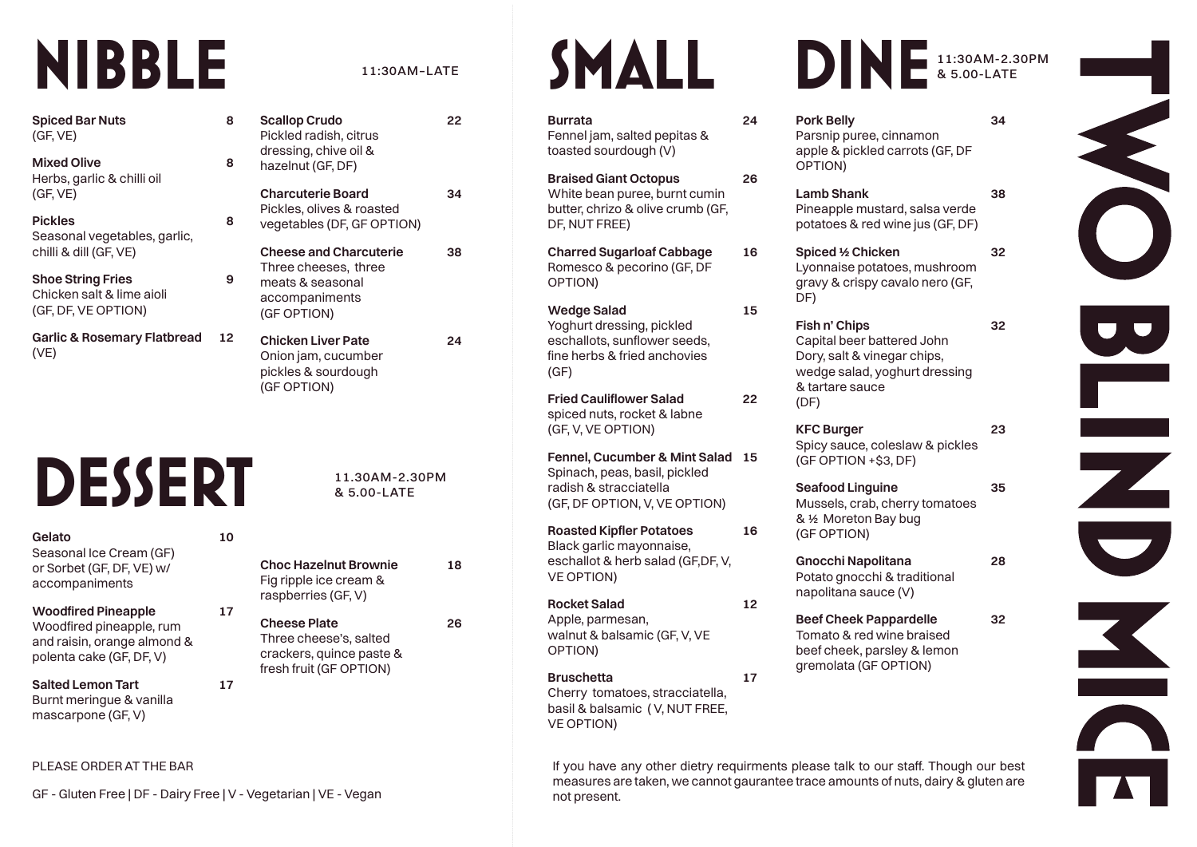## **NIBBLE**

**Spiced Bar Nuts 8** (GF, VE)

**Mixed Olive 8** Herbs, garlic & chilli oil (GF, VE)

**Pickles 8** Seasonal vegetables, garlic, chilli & dill (GF, VE)

**Shoe String Fries 9** Chicken salt & lime aioli (GF, DF, VE OPTION)

**Garlic & Rosemary Flatbread 12** (VE)

# **DESSERT**

#### **Gelato 10**

Seasonal Ice Cream (GF) or Sorbet (GF, DF, VE) w/ accompaniments

### **Woodfired Pineapple 17**

Woodfired pineapple, rum and raisin, orange almond & polenta cake (GF, DF, V)

**Salted Lemon Tart 17** Burnt meringue & vanilla mascarpone (GF, V)

### PLEASE ORDER AT THE BAR

GF - Gluten Free | DF - Dairy Free | V - Vegetarian | VE - Vegan not present.

### 11:30AM–LATE

| <b>Scallop Crudo</b><br>Pickled radish, citrus<br>dressing, chive oil &<br>hazelnut (GF, DF)               | フフ |
|------------------------------------------------------------------------------------------------------------|----|
| <b>Charcuterie Board</b><br>Pickles, olives & roasted<br>vegetables (DF, GF OPTION)                        |    |
| <b>Cheese and Charcuterie</b><br>Three cheeses, three<br>meats & seasonal<br>accompaniments<br>(GF OPTION) | 38 |
| <b>Chicken Liver Pate</b><br>Onion jam, cucumber                                                           |    |

pickles & sourdough (GF OPTION)

### 11.30AM-2.30PM & 5.00-LATE

**Choc Hazelnut Brownie 18** Fig ripple ice cream & raspberries (GF, V)

**Cheese Plate 26** Three cheese's, salted crackers, quince paste &

fresh fruit (GF OPTION)

**SMALL** 

**Burrata 24** Fennel jam, salted pepitas & toasted sourdough (V) **Braised Giant Octopus 26** White bean puree, burnt cumin butter, chrizo & olive crumb (GF, DF, NUT FREE) **Charred Sugarloaf Cabbage 16** Romesco & pecorino (GF, DF OPTION) **Wedge Salad 15** Yoghurt dressing, pickled eschallots, sunflower seeds, fine herbs & fried anchovies (GF) **Fried Cauliflower Salad 22** spiced nuts, rocket & labne (GF, V, VE OPTION) **Fennel, Cucumber & Mint Salad 15** Spinach, peas, basil, pickled radish & stracciatella (GF, DF OPTION, V, VE OPTION) **Roasted Kipfler Potatoes 16** Black garlic mayonnaise, eschallot & herb salad (GF,DF, V, VE OPTION) **Rocket Salad 12** Apple, parmesan, walnut & balsamic (GF, V, VE OPTION)

**Bruschetta 17** Cherry tomatoes, stracciatella, basil & balsamic ( V, NUT FREE, VE OPTION)

### 11:30AM-2.30PM & 5.00-LATE

**Pork Belly 34** Parsnip puree, cinnamon apple & pickled carrots (GF, DF OPTION)

**Lamb Shank 38** Pineapple mustard, salsa verde potatoes & red wine jus (GF, DF)

**Spiced ½ Chicken 32** Lyonnaise potatoes, mushroom gravy & crispy cavalo nero (GF, DF)

**Fish n' Chips 32** Capital beer battered John Dory, salt & vinegar chips, wedge salad, yoghurt dressing & tartare sauce (DF)

**KFC Burger 23** Spicy sauce, coleslaw & pickles (GF OPTION +\$3, DF)

**Seafood Linguine 35** Mussels, crab, cherry tomatoes & ½ Moreton Bay bug (GF OPTION)

**Gnocchi Napolitana 28** Potato gnocchi & traditional napolitana sauce (V)

**Beef Cheek Pappardelle 32** Tomato & red wine braised beef cheek, parsley & lemon gremolata (GF OPTION)

If you have any other dietry requirments please talk to our staff. Though our best measures are taken, we cannot gaurantee trace amounts of nuts, dairy & gluten are